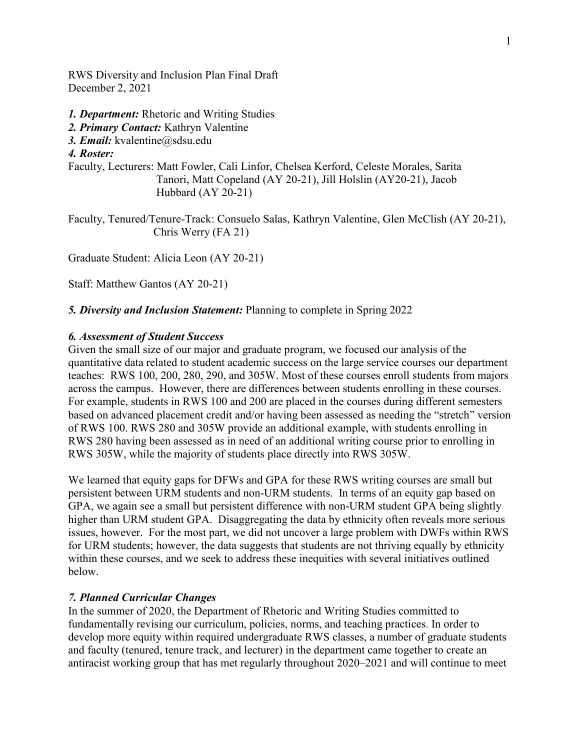RWS Diversity and Inclusion Plan Final Draft December 2, 2021

*1. Department:* Rhetoric and Writing Studies

- *2. Primary Contact:* Kathryn Valentine
- *3. Email:* kvalentine@sdsu.edu

*4. Roster:* 

Faculty, Lecturers: Matt Fowler, Cali Linfor, Chelsea Kerford, Celeste Morales, Sarita Tanori, Matt Copeland (AY 20-21), Jill Holslin (AY20-21), Jacob Hubbard (AY 20-21)

Faculty, Tenured/Tenure-Track: Consuelo Salas, Kathryn Valentine, Glen McClish (AY 20-21), Chris Werry (FA 21)

Graduate Student: Alicia Leon (AY 20-21)

Staff: Matthew Gantos (AY 20-21)

*5. Diversity and Inclusion Statement:* Planning to complete in Spring 2022

### *6. Assessment of Student Success*

Given the small size of our major and graduate program, we focused our analysis of the quantitative data related to student academic success on the large service courses our department teaches: RWS 100, 200, 280, 290, and 305W. Most of these courses enroll students from majors across the campus. However, there are differences between students enrolling in these courses. For example, students in RWS 100 and 200 are placed in the courses during different semesters based on advanced placement credit and/or having been assessed as needing the "stretch" version of RWS 100. RWS 280 and 305W provide an additional example, with students enrolling in RWS 280 having been assessed as in need of an additional writing course prior to enrolling in RWS 305W, while the majority of students place directly into RWS 305W.

We learned that equity gaps for DFWs and GPA for these RWS writing courses are small but persistent between URM students and non-URM students. In terms of an equity gap based on GPA, we again see a small but persistent difference with non-URM student GPA being slightly higher than URM student GPA. Disaggregating the data by ethnicity often reveals more serious issues, however. For the most part, we did not uncover a large problem with DWFs within RWS for URM students; however, the data suggests that students are not thriving equally by ethnicity within these courses, and we seek to address these inequities with several initiatives outlined below.

#### *7. Planned Curricular Changes*

In the summer of 2020, the Department of Rhetoric and Writing Studies committed to fundamentally revising our curriculum, policies, norms, and teaching practices. In order to develop more equity within required undergraduate RWS classes, a number of graduate students and faculty (tenured, tenure track, and lecturer) in the department came together to create an antiracist working group that has met regularly throughout 2020–2021 and will continue to meet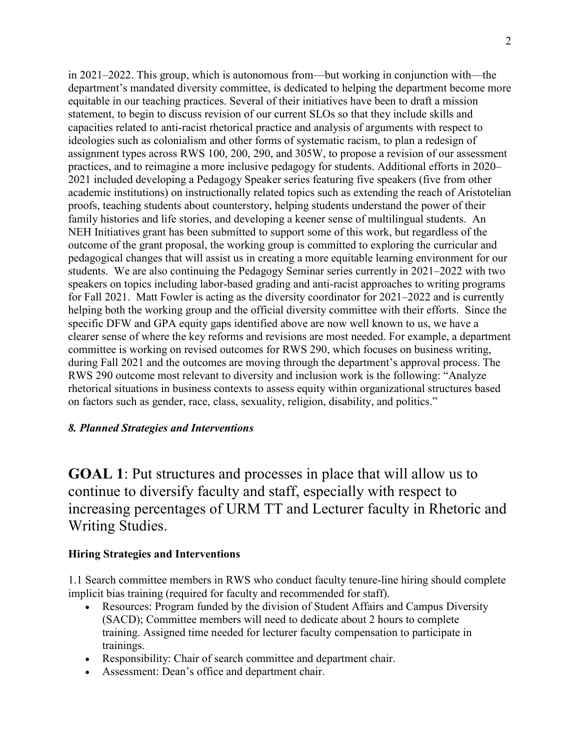in 2021–2022. This group, which is autonomous from—but working in conjunction with—the department's mandated diversity committee, is dedicated to helping the department become more equitable in our teaching practices. Several of their initiatives have been to draft a mission statement, to begin to discuss revision of our current SLOs so that they include skills and capacities related to anti-racist rhetorical practice and analysis of arguments with respect to ideologies such as colonialism and other forms of systematic racism, to plan a redesign of assignment types across RWS 100, 200, 290, and 305W, to propose a revision of our assessment practices, and to reimagine a more inclusive pedagogy for students. Additional efforts in 2020– 2021 included developing a Pedagogy Speaker series featuring five speakers (five from other academic institutions) on instructionally related topics such as extending the reach of Aristotelian proofs, teaching students about counterstory, helping students understand the power of their family histories and life stories, and developing a keener sense of multilingual students. An NEH Initiatives grant has been submitted to support some of this work, but regardless of the outcome of the grant proposal, the working group is committed to exploring the curricular and pedagogical changes that will assist us in creating a more equitable learning environment for our students. We are also continuing the Pedagogy Seminar series currently in 2021–2022 with two speakers on topics including labor-based grading and anti-racist approaches to writing programs for Fall 2021. Matt Fowler is acting as the diversity coordinator for 2021–2022 and is currently helping both the working group and the official diversity committee with their efforts. Since the specific DFW and GPA equity gaps identified above are now well known to us, we have a clearer sense of where the key reforms and revisions are most needed. For example, a department committee is working on revised outcomes for RWS 290, which focuses on business writing, during Fall 2021 and the outcomes are moving through the department's approval process. The RWS 290 outcome most relevant to diversity and inclusion work is the following: "Analyze rhetorical situations in business contexts to assess equity within organizational structures based on factors such as gender, race, class, sexuality, religion, disability, and politics."

## *8. Planned Strategies and Interventions*

**GOAL 1**: Put structures and processes in place that will allow us to continue to diversify faculty and staff, especially with respect to increasing percentages of URM TT and Lecturer faculty in Rhetoric and Writing Studies.

### **Hiring Strategies and Interventions**

1.1 Search committee members in RWS who conduct faculty tenure-line hiring should complete implicit bias training (required for faculty and recommended for staff).

- Resources: Program funded by the division of Student Affairs and Campus Diversity (SACD); Committee members will need to dedicate about 2 hours to complete training. Assigned time needed for lecturer faculty compensation to participate in trainings.
- Responsibility: Chair of search committee and department chair.
- Assessment: Dean's office and department chair.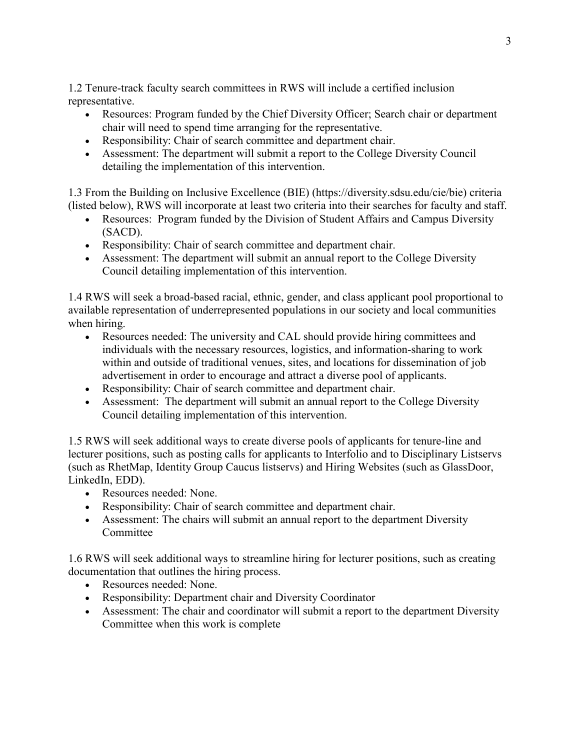1.2 Tenure-track faculty search committees in RWS will include a certified inclusion representative.

- Resources: Program funded by the Chief Diversity Officer; Search chair or department chair will need to spend time arranging for the representative.
- Responsibility: Chair of search committee and department chair.
- Assessment: The department will submit a report to the College Diversity Council detailing the implementation of this intervention.

1.3 From the Building on Inclusive Excellence (BIE) (https://diversity.sdsu.edu/cie/bie) criteria (listed below), RWS will incorporate at least two criteria into their searches for faculty and staff.

- Resources: Program funded by the Division of Student Affairs and Campus Diversity (SACD).
- Responsibility: Chair of search committee and department chair.
- Assessment: The department will submit an annual report to the College Diversity Council detailing implementation of this intervention.

1.4 RWS will seek a broad-based racial, ethnic, gender, and class applicant pool proportional to available representation of underrepresented populations in our society and local communities when hiring.

- Resources needed: The university and CAL should provide hiring committees and individuals with the necessary resources, logistics, and information-sharing to work within and outside of traditional venues, sites, and locations for dissemination of job advertisement in order to encourage and attract a diverse pool of applicants.
- Responsibility: Chair of search committee and department chair.
- Assessment: The department will submit an annual report to the College Diversity Council detailing implementation of this intervention.

1.5 RWS will seek additional ways to create diverse pools of applicants for tenure-line and lecturer positions, such as posting calls for applicants to Interfolio and to Disciplinary Listservs (such as RhetMap, Identity Group Caucus listservs) and Hiring Websites (such as GlassDoor, LinkedIn, EDD).

- Resources needed: None.
- Responsibility: Chair of search committee and department chair.
- Assessment: The chairs will submit an annual report to the department Diversity Committee

1.6 RWS will seek additional ways to streamline hiring for lecturer positions, such as creating documentation that outlines the hiring process.

- Resources needed: None.
- Responsibility: Department chair and Diversity Coordinator
- Assessment: The chair and coordinator will submit a report to the department Diversity Committee when this work is complete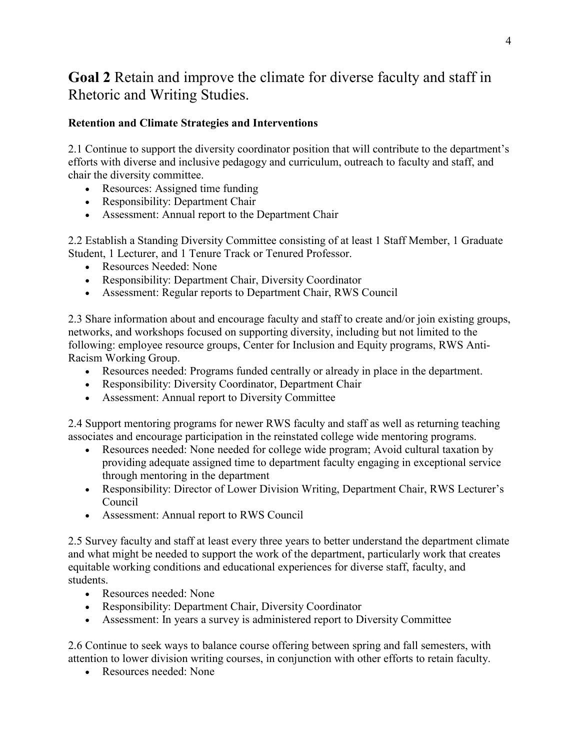# **Goal 2** Retain and improve the climate for diverse faculty and staff in Rhetoric and Writing Studies.

# **Retention and Climate Strategies and Interventions**

2.1 Continue to support the diversity coordinator position that will contribute to the department's efforts with diverse and inclusive pedagogy and curriculum, outreach to faculty and staff, and chair the diversity committee.

- Resources: Assigned time funding
- Responsibility: Department Chair
- Assessment: Annual report to the Department Chair

2.2 Establish a Standing Diversity Committee consisting of at least 1 Staff Member, 1 Graduate Student, 1 Lecturer, and 1 Tenure Track or Tenured Professor.

- Resources Needed: None
- Responsibility: Department Chair, Diversity Coordinator
- Assessment: Regular reports to Department Chair, RWS Council

2.3 Share information about and encourage faculty and staff to create and/or join existing groups, networks, and workshops focused on supporting diversity, including but not limited to the following: employee resource groups, Center for Inclusion and Equity programs, RWS Anti-Racism Working Group.

- Resources needed: Programs funded centrally or already in place in the department.
- Responsibility: Diversity Coordinator, Department Chair
- Assessment: Annual report to Diversity Committee

2.4 Support mentoring programs for newer RWS faculty and staff as well as returning teaching associates and encourage participation in the reinstated college wide mentoring programs.

- Resources needed: None needed for college wide program; Avoid cultural taxation by providing adequate assigned time to department faculty engaging in exceptional service through mentoring in the department
- Responsibility: Director of Lower Division Writing, Department Chair, RWS Lecturer's Council
- Assessment: Annual report to RWS Council

2.5 Survey faculty and staff at least every three years to better understand the department climate and what might be needed to support the work of the department, particularly work that creates equitable working conditions and educational experiences for diverse staff, faculty, and students.

- Resources needed: None
- Responsibility: Department Chair, Diversity Coordinator
- Assessment: In years a survey is administered report to Diversity Committee

2.6 Continue to seek ways to balance course offering between spring and fall semesters, with attention to lower division writing courses, in conjunction with other efforts to retain faculty.

• Resources needed: None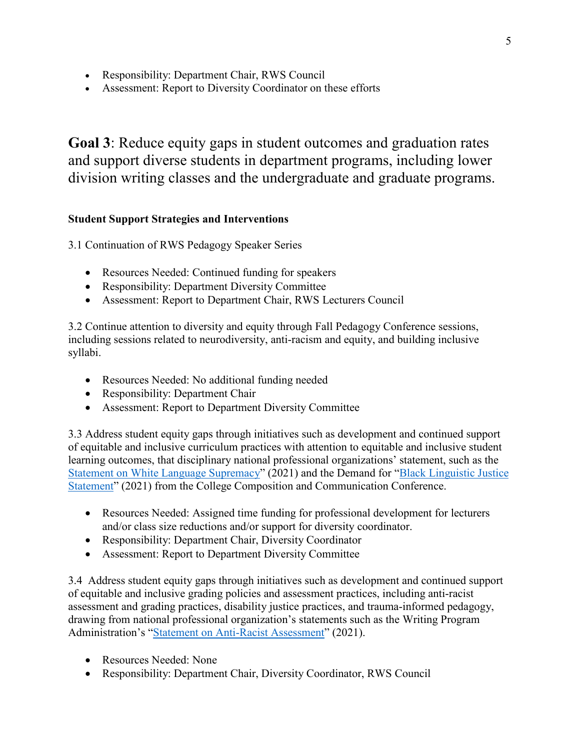- Responsibility: Department Chair, RWS Council
- Assessment: Report to Diversity Coordinator on these efforts

**Goal 3**: Reduce equity gaps in student outcomes and graduation rates and support diverse students in department programs, including lower division writing classes and the undergraduate and graduate programs.

### **Student Support Strategies and Interventions**

3.1 Continuation of RWS Pedagogy Speaker Series

- Resources Needed: Continued funding for speakers
- Responsibility: Department Diversity Committee
- Assessment: Report to Department Chair, RWS Lecturers Council

3.2 Continue attention to diversity and equity through Fall Pedagogy Conference sessions, including sessions related to neurodiversity, anti-racism and equity, and building inclusive syllabi.

- Resources Needed: No additional funding needed
- Responsibility: Department Chair
- Assessment: Report to Department Diversity Committee

3.3 Address student equity gaps through initiatives such as development and continued support of equitable and inclusive curriculum practices with attention to equitable and inclusive student learning outcomes, that disciplinary national professional organizations' statement, such as the [Statement on White Language Supremacy"](https://cccc.ncte.org/cccc/white-language-supremacy) (2021) and the Demand for ["Black Linguistic Justice](https://cccc.ncte.org/cccc/demand-for-black-linguistic-justice)  [Statement"](https://cccc.ncte.org/cccc/demand-for-black-linguistic-justice) (2021) from the College Composition and Communication Conference.

- Resources Needed: Assigned time funding for professional development for lecturers and/or class size reductions and/or support for diversity coordinator.
- Responsibility: Department Chair, Diversity Coordinator
- Assessment: Report to Department Diversity Committee

3.4 Address student equity gaps through initiatives such as development and continued support of equitable and inclusive grading policies and assessment practices, including anti-racist assessment and grading practices, disability justice practices, and trauma-informed pedagogy, drawing from national professional organization's statements such as the Writing Program Administration's ["Statement on Anti-Racist Assessment"](http://wpacouncil.org/aws/CWPA/pt/sd/news_article/313021/_PARENT/layout_details/false) (2021).

- Resources Needed: None
- Responsibility: Department Chair, Diversity Coordinator, RWS Council